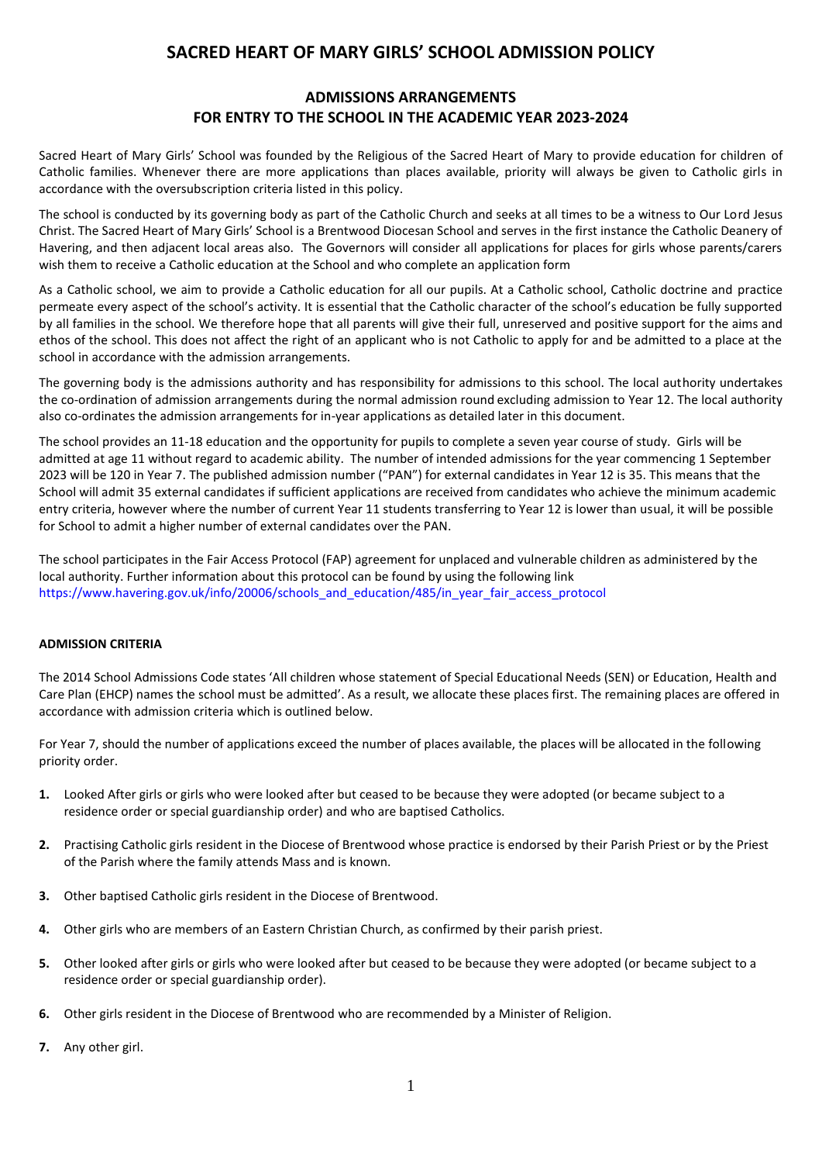# **SACRED HEART OF MARY GIRLS' SCHOOL ADMISSION POLICY**

# **ADMISSIONS ARRANGEMENTS FOR ENTRY TO THE SCHOOL IN THE ACADEMIC YEAR 2023-2024**

Sacred Heart of Mary Girls' School was founded by the Religious of the Sacred Heart of Mary to provide education for children of Catholic families. Whenever there are more applications than places available, priority will always be given to Catholic girls in accordance with the oversubscription criteria listed in this policy.

The school is conducted by its governing body as part of the Catholic Church and seeks at all times to be a witness to Our Lord Jesus Christ. The Sacred Heart of Mary Girls' School is a Brentwood Diocesan School and serves in the first instance the Catholic Deanery of Havering, and then adjacent local areas also. The Governors will consider all applications for places for girls whose parents/carers wish them to receive a Catholic education at the School and who complete an application form

As a Catholic school, we aim to provide a Catholic education for all our pupils. At a Catholic school, Catholic doctrine and practice permeate every aspect of the school's activity. It is essential that the Catholic character of the school's education be fully supported by all families in the school. We therefore hope that all parents will give their full, unreserved and positive support for the aims and ethos of the school. This does not affect the right of an applicant who is not Catholic to apply for and be admitted to a place at the school in accordance with the admission arrangements.

The governing body is the admissions authority and has responsibility for admissions to this school. The local authority undertakes the co-ordination of admission arrangements during the normal admission round excluding admission to Year 12. The local authority also co-ordinates the admission arrangements for in-year applications as detailed later in this document.

The school provides an 11-18 education and the opportunity for pupils to complete a seven year course of study. Girls will be admitted at age 11 without regard to academic ability. The number of intended admissions for the year commencing 1 September 2023 will be 120 in Year 7. The published admission number ("PAN") for external candidates in Year 12 is 35. This means that the School will admit 35 external candidates if sufficient applications are received from candidates who achieve the minimum academic entry criteria, however where the number of current Year 11 students transferring to Year 12 is lower than usual, it will be possible for School to admit a higher number of external candidates over the PAN.

The school participates in the Fair Access Protocol (FAP) agreement for unplaced and vulnerable children as administered by the local authority. Further information about this protocol can be found by using the following link [https://www.havering.gov.uk/info/20006/schools\\_and\\_education/485/in\\_year\\_fair\\_access\\_protocol](https://www.havering.gov.uk/info/20006/schools_and_education/485/in_year_fair_access_protocol)

#### **ADMISSION CRITERIA**

The 2014 School Admissions Code states 'All children whose statement of Special Educational Needs (SEN) or Education, Health and Care Plan (EHCP) names the school must be admitted'. As a result, we allocate these places first. The remaining places are offered in accordance with admission criteria which is outlined below.

For Year 7, should the number of applications exceed the number of places available, the places will be allocated in the following priority order.

- **1.** Looked After girls or girls who were looked after but ceased to be because they were adopted (or became subject to a residence order or special guardianship order) and who are baptised Catholics.
- **2.** Practising Catholic girls resident in the Diocese of Brentwood whose practice is endorsed by their Parish Priest or by the Priest of the Parish where the family attends Mass and is known.
- **3.** Other baptised Catholic girls resident in the Diocese of Brentwood.
- **4.** Other girls who are members of an Eastern Christian Church, as confirmed by their parish priest.
- **5.** Other looked after girls or girls who were looked after but ceased to be because they were adopted (or became subject to a residence order or special guardianship order).
- **6.** Other girls resident in the Diocese of Brentwood who are recommended by a Minister of Religion.
- **7.** Any other girl.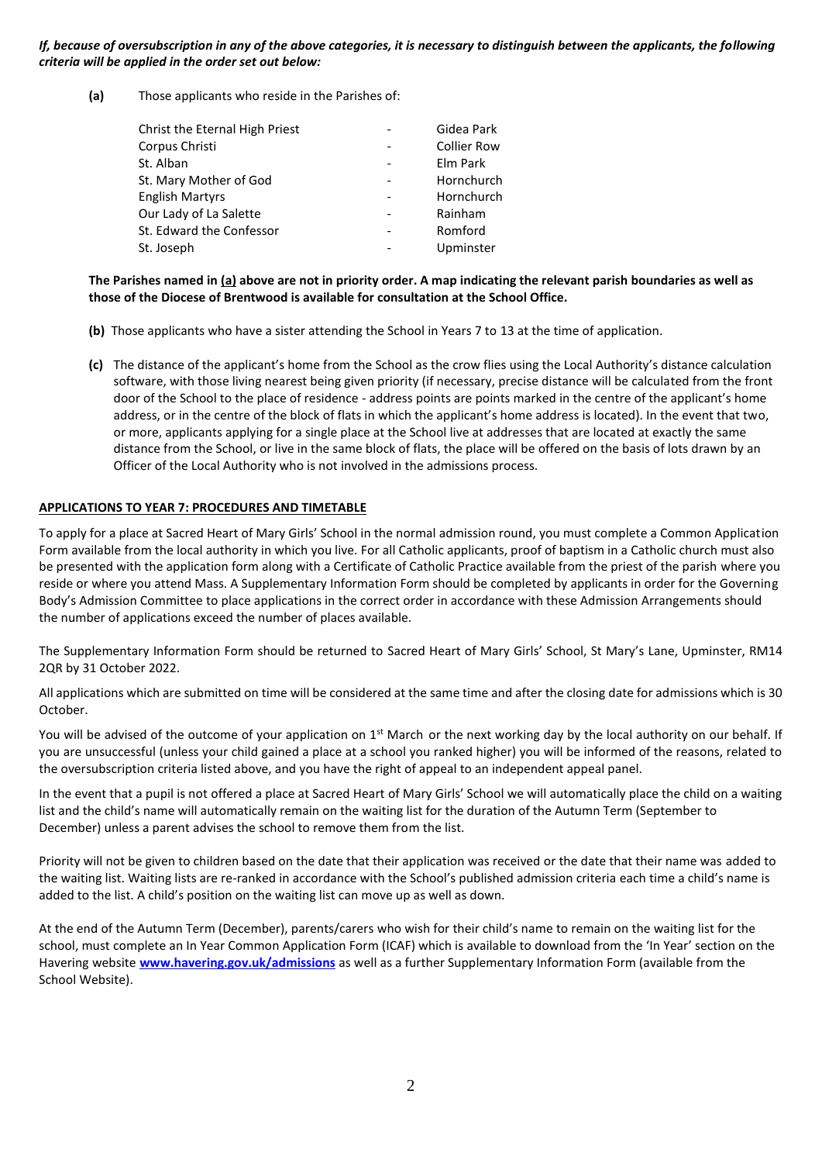*If, because of oversubscription in any of the above categories, it is necessary to distinguish between the applicants, the following criteria will be applied in the order set out below:*

**(a)** Those applicants who reside in the Parishes of:

| Christ the Eternal High Priest | Gidea Park         |
|--------------------------------|--------------------|
| Corpus Christi                 | <b>Collier Row</b> |
| St. Alban                      | Elm Park           |
| St. Mary Mother of God         | Hornchurch         |
| <b>English Martyrs</b>         | Hornchurch         |
| Our Lady of La Salette         | Rainham            |
| St. Edward the Confessor       | Romford            |
| St. Joseph                     | Upminster          |

#### **The Parishes named in (a) above are not in priority order. A map indicating the relevant parish boundaries as well as those of the Diocese of Brentwood is available for consultation at the School Office.**

- **(b)** Those applicants who have a sister attending the School in Years 7 to 13 at the time of application.
- **(c)** The distance of the applicant's home from the School as the crow flies using the Local Authority's distance calculation software, with those living nearest being given priority (if necessary, precise distance will be calculated from the front door of the School to the place of residence - address points are points marked in the centre of the applicant's home address, or in the centre of the block of flats in which the applicant's home address is located). In the event that two, or more, applicants applying for a single place at the School live at addresses that are located at exactly the same distance from the School, or live in the same block of flats, the place will be offered on the basis of lots drawn by an Officer of the Local Authority who is not involved in the admissions process.

#### **APPLICATIONS TO YEAR 7: PROCEDURES AND TIMETABLE**

To apply for a place at Sacred Heart of Mary Girls' School in the normal admission round, you must complete a Common Application Form available from the local authority in which you live. For all Catholic applicants, proof of baptism in a Catholic church must also be presented with the application form along with a Certificate of Catholic Practice available from the priest of the parish where you reside or where you attend Mass. A Supplementary Information Form should be completed by applicants in order for the Governing Body's Admission Committee to place applications in the correct order in accordance with these Admission Arrangements should the number of applications exceed the number of places available.

The Supplementary Information Form should be returned to Sacred Heart of Mary Girls' School, St Mary's Lane, Upminster, RM14 2QR by 31 October 2022.

All applications which are submitted on time will be considered at the same time and after the closing date for admissions which is 30 October.

You will be advised of the outcome of your application on  $1<sup>st</sup>$  March or the next working day by the local authority on our behalf. If you are unsuccessful (unless your child gained a place at a school you ranked higher) you will be informed of the reasons, related to the oversubscription criteria listed above, and you have the right of appeal to an independent appeal panel.

In the event that a pupil is not offered a place at Sacred Heart of Mary Girls' School we will automatically place the child on a waiting list and the child's name will automatically remain on the waiting list for the duration of the Autumn Term (September to December) unless a parent advises the school to remove them from the list.

Priority will not be given to children based on the date that their application was received or the date that their name was added to the waiting list. Waiting lists are re-ranked in accordance with the School's published admission criteria each time a child's name is added to the list. A child's position on the waiting list can move up as well as down.

At the end of the Autumn Term (December), parents/carers who wish for their child's name to remain on the waiting list for the school, must complete an In Year Common Application Form (ICAF) which is available to download from the 'In Year' section on the Havering website **[www.havering.gov.uk/admissions](http://www.havering.gov.uk/admissions)** as well as a further Supplementary Information Form (available from the School Website).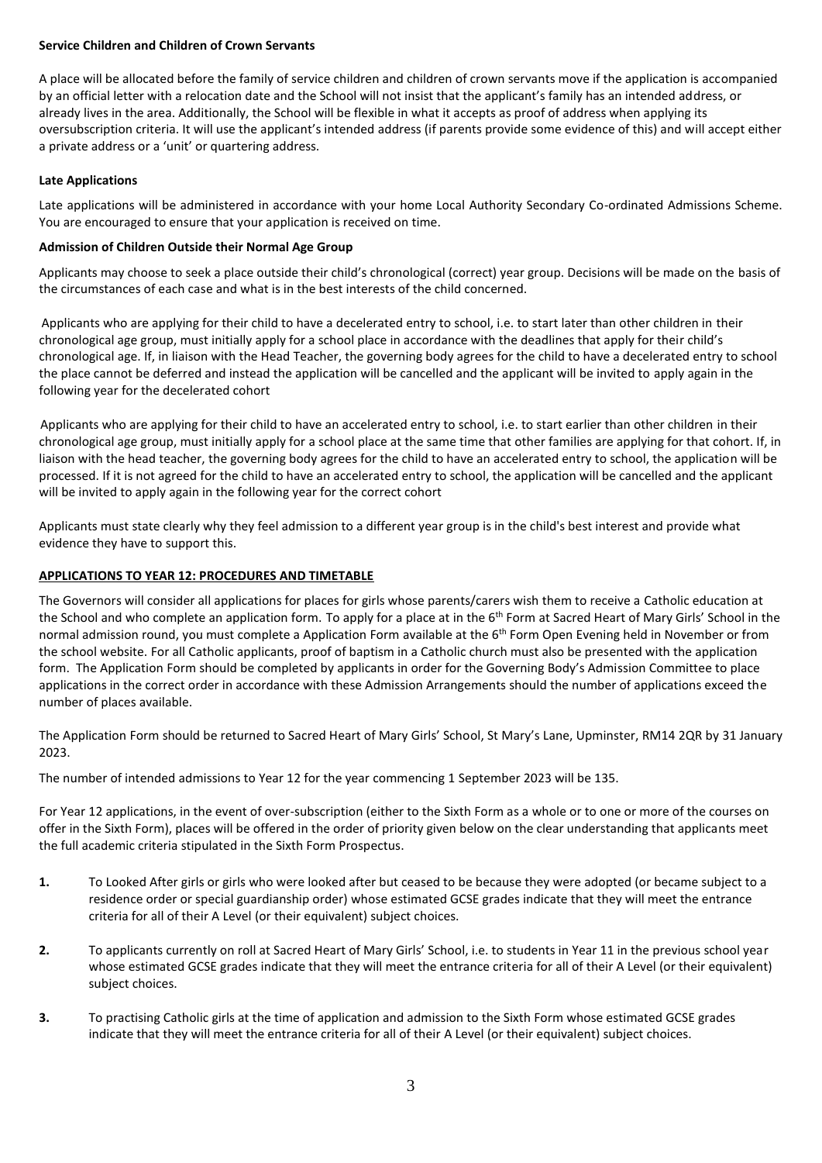#### **Service Children and Children of Crown Servants**

A place will be allocated before the family of service children and children of crown servants move if the application is accompanied by an official letter with a relocation date and the School will not insist that the applicant's family has an intended address, or already lives in the area. Additionally, the School will be flexible in what it accepts as proof of address when applying its oversubscription criteria. It will use the applicant's intended address (if parents provide some evidence of this) and will accept either a private address or a 'unit' or quartering address.

## **Late Applications**

Late applications will be administered in accordance with your home Local Authority Secondary Co-ordinated Admissions Scheme. You are encouraged to ensure that your application is received on time.

#### **Admission of Children Outside their Normal Age Group**

Applicants may choose to seek a place outside their child's chronological (correct) year group. Decisions will be made on the basis of the circumstances of each case and what is in the best interests of the child concerned.

 Applicants who are applying for their child to have a decelerated entry to school, i.e. to start later than other children in their chronological age group, must initially apply for a school place in accordance with the deadlines that apply for their child's chronological age. If, in liaison with the Head Teacher, the governing body agrees for the child to have a decelerated entry to school the place cannot be deferred and instead the application will be cancelled and the applicant will be invited to apply again in the following year for the decelerated cohort

Applicants who are applying for their child to have an accelerated entry to school, i.e. to start earlier than other children in their chronological age group, must initially apply for a school place at the same time that other families are applying for that cohort. If, in liaison with the head teacher, the governing body agrees for the child to have an accelerated entry to school, the application will be processed. If it is not agreed for the child to have an accelerated entry to school, the application will be cancelled and the applicant will be invited to apply again in the following year for the correct cohort

Applicants must state clearly why they feel admission to a different year group is in the child's best interest and provide what evidence they have to support this.

# **APPLICATIONS TO YEAR 12: PROCEDURES AND TIMETABLE**

The Governors will consider all applications for places for girls whose parents/carers wish them to receive a Catholic education at the School and who complete an application form. To apply for a place at in the 6<sup>th</sup> Form at Sacred Heart of Mary Girls' School in the normal admission round, you must complete a Application Form available at the 6<sup>th</sup> Form Open Evening held in November or from the school website. For all Catholic applicants, proof of baptism in a Catholic church must also be presented with the application form. The Application Form should be completed by applicants in order for the Governing Body's Admission Committee to place applications in the correct order in accordance with these Admission Arrangements should the number of applications exceed the number of places available.

The Application Form should be returned to Sacred Heart of Mary Girls' School, St Mary's Lane, Upminster, RM14 2QR by 31 January 2023.

The number of intended admissions to Year 12 for the year commencing 1 September 2023 will be 135.

For Year 12 applications, in the event of over-subscription (either to the Sixth Form as a whole or to one or more of the courses on offer in the Sixth Form), places will be offered in the order of priority given below on the clear understanding that applicants meet the full academic criteria stipulated in the Sixth Form Prospectus.

- **1.** To Looked After girls or girls who were looked after but ceased to be because they were adopted (or became subject to a residence order or special guardianship order) whose estimated GCSE grades indicate that they will meet the entrance criteria for all of their A Level (or their equivalent) subject choices.
- **2.** To applicants currently on roll at Sacred Heart of Mary Girls' School, i.e. to students in Year 11 in the previous school year whose estimated GCSE grades indicate that they will meet the entrance criteria for all of their A Level (or their equivalent) subject choices.
- **3.** To practising Catholic girls at the time of application and admission to the Sixth Form whose estimated GCSE grades indicate that they will meet the entrance criteria for all of their A Level (or their equivalent) subject choices.